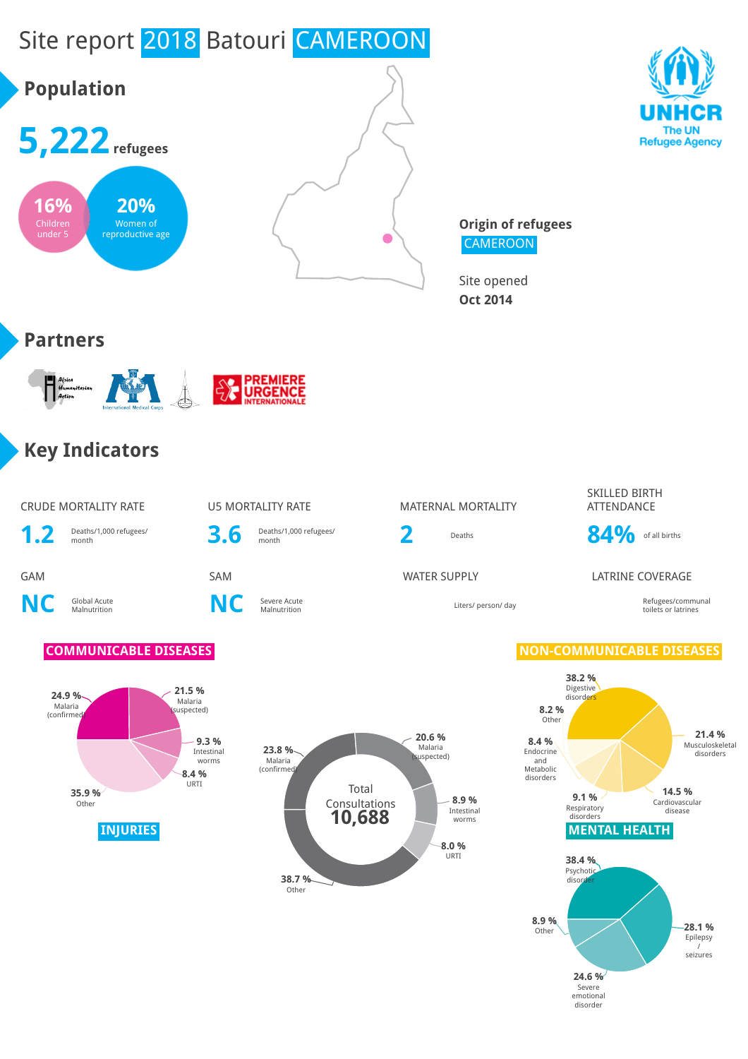# Site report 2018 Batouri CAMEROON





**Origin of refugees CAMEROON** 

Site opened **Oct 2014**

## **Partners**



# **Key Indicators**

### CRUDE MORTALITY RATE **U5 MORTALITY RATE** MATERNAL MORTALITY

1.2 Deaths/1,000 refugees/

**NC** Global Acute

**C** Severe Acute<br>Malnutrition **NC** Severe Acute



Malnutrition Liters/ person/ day Refugees/communal

SKILLED BIRTH ATTENDANCE



### GAM SAM WATER SUPPLY LATRINE COVERAGE

toilets or latrines





## **COMMUNICABLE DISEASES NON-COMMUNICABLE DISEASES**

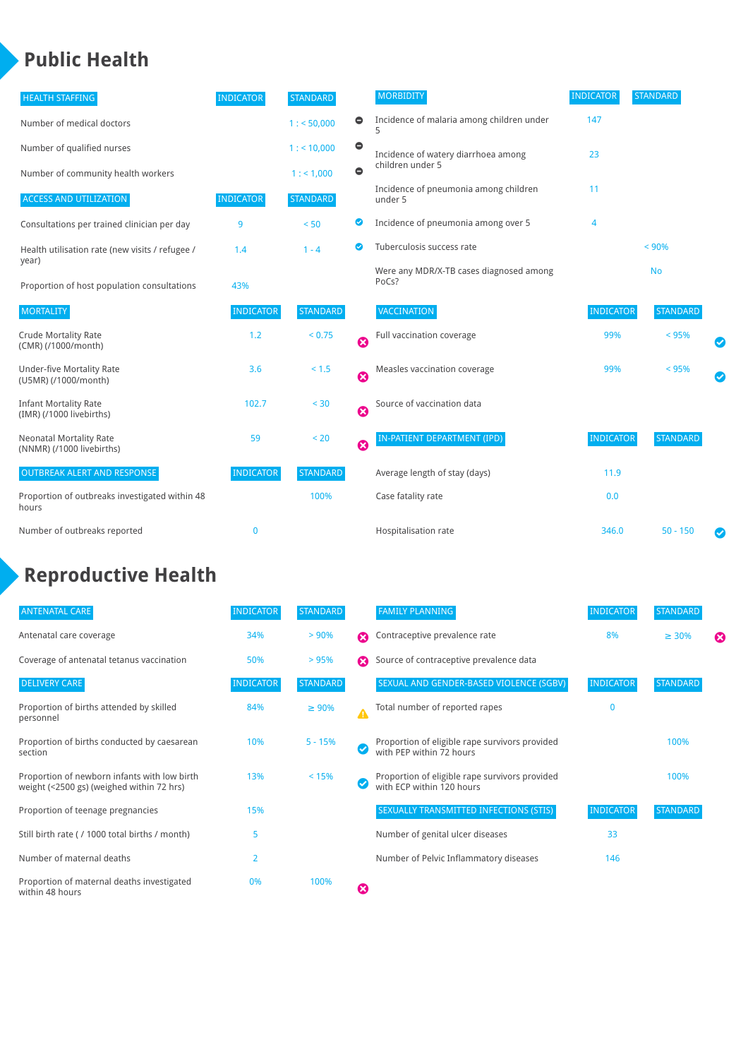# **Public Health**

| <b>HEALTH STAFFING</b>                                      | <b>INDICATOR</b> | <b>STANDARD</b> |           | <b>MORBIDITY</b>                                 | <b>INDICATOR</b> | <b>STANDARD</b> |  |
|-------------------------------------------------------------|------------------|-----------------|-----------|--------------------------------------------------|------------------|-----------------|--|
| Number of medical doctors                                   |                  | 1: 50,000       | 0         | Incidence of malaria among children under        | 147              |                 |  |
| Number of qualified nurses                                  |                  | 1:10,000        | $\bullet$ | Incidence of watery diarrhoea among              | 23               |                 |  |
| Number of community health workers                          |                  | 1: 1,000        | $\bullet$ | children under 5                                 |                  |                 |  |
| <b>ACCESS AND UTILIZATION</b>                               | <b>INDICATOR</b> | <b>STANDARD</b> |           | Incidence of pneumonia among children<br>under 5 | 11               |                 |  |
| Consultations per trained clinician per day                 | 9                | < 50            | ◕         | Incidence of pneumonia among over 5              | $\overline{4}$   |                 |  |
| Health utilisation rate (new visits / refugee /             | 1.4              | $1 - 4$         | ◙         | Tuberculosis success rate                        |                  | < 90%           |  |
| year)<br>Proportion of host population consultations        | 43%              |                 |           | Were any MDR/X-TB cases diagnosed among<br>PoCs? |                  | <b>No</b>       |  |
| <b>MORTALITY</b>                                            | <b>INDICATOR</b> | <b>STANDARD</b> |           | <b>VACCINATION</b>                               | <b>INDICATOR</b> | <b>STANDARD</b> |  |
| <b>Crude Mortality Rate</b><br>(CMR) (/1000/month)          | 1.2              | < 0.75          | Ø         | Full vaccination coverage                        | 99%              | < 95%           |  |
| <b>Under-five Mortality Rate</b><br>(U5MR) (/1000/month)    | 3.6              | < 1.5           | ☺         | Measles vaccination coverage                     | 99%              | < 95%           |  |
| <b>Infant Mortality Rate</b><br>(IMR) (/1000 livebirths)    | 102.7            | $< 30$          | Ø         | Source of vaccination data                       |                  |                 |  |
| <b>Neonatal Mortality Rate</b><br>(NNMR) (/1000 livebirths) | 59               | < 20            | Ø         | IN-PATIENT DEPARTMENT (IPD)                      | <b>INDICATOR</b> | <b>STANDARD</b> |  |
| <b>OUTBREAK ALERT AND RESPONSE</b>                          | <b>INDICATOR</b> | <b>STANDARD</b> |           | Average length of stay (days)                    | 11.9             |                 |  |
| Proportion of outbreaks investigated within 48<br>hours     |                  | 100%            |           | Case fatality rate                               | 0.0              |                 |  |
| Number of outbreaks reported                                | $\mathbf 0$      |                 |           | Hospitalisation rate                             | 346.0            | $50 - 150$      |  |

# **Reproductive Health**

| <b>ANTENATAL CARE</b>                                                                     | <b>INDICATOR</b> | <b>STANDARD</b> |                  | <b>FAMILY PLANNING</b>                                                      | <b>INDICATOR</b> | <b>STANDARD</b> |   |
|-------------------------------------------------------------------------------------------|------------------|-----------------|------------------|-----------------------------------------------------------------------------|------------------|-----------------|---|
| Antenatal care coverage                                                                   | 34%              | > 90%           | ⋒                | Contraceptive prevalence rate                                               | 8%               | $\geq 30\%$     | ⊠ |
| Coverage of antenatal tetanus vaccination                                                 | 50%              | >95%            | Ω                | Source of contraceptive prevalence data                                     |                  |                 |   |
| <b>DELIVERY CARE</b>                                                                      | <b>INDICATOR</b> | <b>STANDARD</b> |                  | SEXUAL AND GENDER-BASED VIOLENCE (SGBV)                                     | <b>INDICATOR</b> | <b>STANDARD</b> |   |
| Proportion of births attended by skilled<br>personnel                                     | 84%              | $\geq 90\%$     | $\blacktriangle$ | Total number of reported rapes                                              | $\mathbf{0}$     |                 |   |
| Proportion of births conducted by caesarean<br>section                                    | 10%              | $5 - 15%$       |                  | Proportion of eligible rape survivors provided<br>with PEP within 72 hours  |                  | 100%            |   |
| Proportion of newborn infants with low birth<br>weight (<2500 gs) (weighed within 72 hrs) | 13%              | < 15%           |                  | Proportion of eligible rape survivors provided<br>with ECP within 120 hours |                  | 100%            |   |
| Proportion of teenage pregnancies                                                         | 15%              |                 |                  | SEXUALLY TRANSMITTED INFECTIONS (STIS)                                      | <b>INDICATOR</b> | <b>STANDARD</b> |   |
| Still birth rate (/ 1000 total births / month)                                            | 5                |                 |                  | Number of genital ulcer diseases                                            | 33               |                 |   |
| Number of maternal deaths                                                                 | $\overline{2}$   |                 |                  | Number of Pelvic Inflammatory diseases                                      | 146              |                 |   |
| Proportion of maternal deaths investigated<br>within 48 hours                             | 0%               | 100%            | ظ                |                                                                             |                  |                 |   |